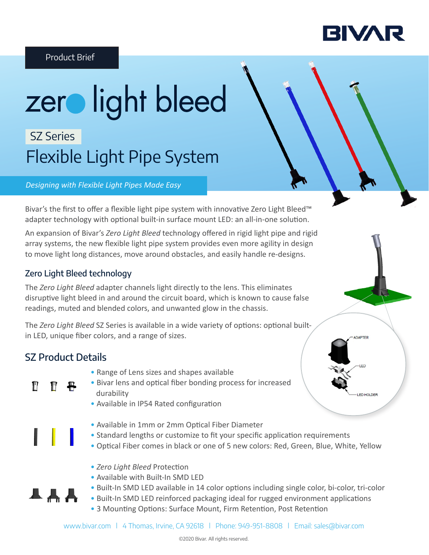

ED HOLDER

#### Product Brief

# zer light bleed SZ Series

# Flexible Light Pipe System

#### *Designing with Flexible Light Pipes Made Easy*

Bivar's the first to offer a flexible light pipe system with innovative Zero Light Bleed™ adapter technology with optional built-in surface mount LED: an all-in-one solution.

An expansion of Bivar's *Zero Light Bleed* technology offered in rigid light pipe and rigid array systems, the new flexible light pipe system provides even more agility in design to move light long distances, move around obstacles, and easily handle re-designs.

#### Zero Light Bleed technology

The *Zero Light Bleed* adapter channels light directly to the lens. This eliminates disruptive light bleed in and around the circuit board, which is known to cause false readings, muted and blended colors, and unwanted glow in the chassis.

The *Zero Light Bleed* SZ Series is available in a wide variety of options: optional builtin LED, unique fiber colors, and a range of sizes.

### SZ Product Details

П

┻╇╋

- Range of Lens sizes and shapes available
- Bivar lens and optical fiber bonding process for increased durability
	- Available in IP54 Rated configuration
	- Available in 1mm or 2mm Optical Fiber Diameter
	- Standard lengths or customize to fit your specific application requirements
	- Optical Fiber comes in black or one of 5 new colors: Red, Green, Blue, White, Yellow
	- *Zero Light Bleed* Protection
	- Available with Built-In SMD LED
	- Built-In SMD LED available in 14 color options including single color, bi-color, tri-color
	- Built-In SMD LED reinforced packaging ideal for rugged environment applications • 3 Mounting Options: Surface Mount, Firm Retention, Post Retention